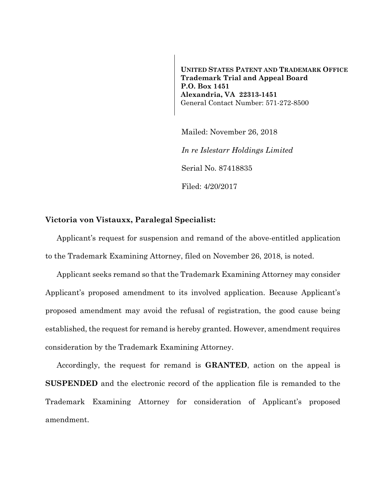**UNITED STATES PATENT AND TRADEMARK OFFICE Trademark Trial and Appeal Board P.O. Box 1451 Alexandria, VA 22313-1451**  General Contact Number: 571-272-8500

Mailed: November 26, 2018 *In re Islestarr Holdings Limited*  Serial No. 87418835 Filed: 4/20/2017

## **Victoria von Vistauxx, Paralegal Specialist:**

Applicant's request for suspension and remand of the above-entitled application to the Trademark Examining Attorney, filed on November 26, 2018, is noted.

Applicant seeks remand so that the Trademark Examining Attorney may consider Applicant's proposed amendment to its involved application. Because Applicant's proposed amendment may avoid the refusal of registration, the good cause being established, the request for remand is hereby granted. However, amendment requires consideration by the Trademark Examining Attorney.

Accordingly, the request for remand is **GRANTED**, action on the appeal is **SUSPENDED** and the electronic record of the application file is remanded to the Trademark Examining Attorney for consideration of Applicant's proposed amendment.